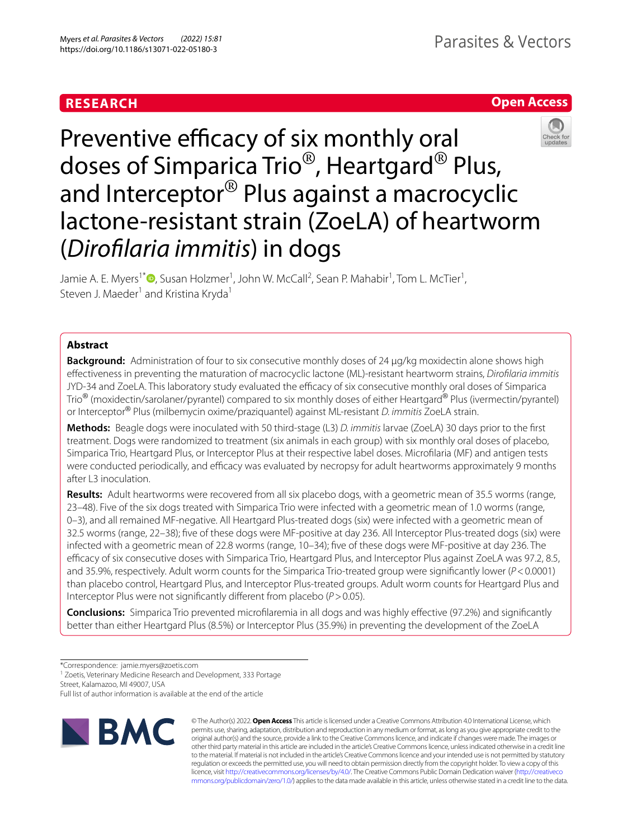# **RESEARCH**





# Preventive efficacy of six monthly oral doses of Simparica Trio® , Heartgard® Plus, and Interceptor® Plus against a macrocyclic lactone-resistant strain (ZoeLA) of heartworm (*Diroflaria immitis*) in dogs

Jamie A. E. Myers<sup>1[\\*](http://orcid.org/0000-0002-5348-848X)</sup>®, Susan Holzmer<sup>1</sup>, John W. McCall<sup>2</sup>, Sean P. Mahabir<sup>1</sup>, Tom L. McTier<sup>1</sup>, Steven J. Maeder<sup>1</sup> and Kristina Kryda<sup>1</sup>

# **Abstract**

**Background:** Administration of four to six consecutive monthly doses of 24 µg/kg moxidectin alone shows high efectiveness in preventing the maturation of macrocyclic lactone (ML)-resistant heartworm strains, *Diroflaria immitis* JYD-34 and ZoeLA. This laboratory study evaluated the efficacy of six consecutive monthly oral doses of Simparica Trio® (moxidectin/sarolaner/pyrantel) compared to six monthly doses of either Heartgard® Plus (ivermectin/pyrantel) or Interceptor® Plus (milbemycin oxime/praziquantel) against ML-resistant *D. immitis* ZoeLA strain.

**Methods:** Beagle dogs were inoculated with 50 third-stage (L3) *D. immitis* larvae (ZoeLA) 30 days prior to the frst treatment. Dogs were randomized to treatment (six animals in each group) with six monthly oral doses of placebo, Simparica Trio, Heartgard Plus, or Interceptor Plus at their respective label doses. Microflaria (MF) and antigen tests were conducted periodically, and efficacy was evaluated by necropsy for adult heartworms approximately 9 months after L3 inoculation.

**Results:** Adult heartworms were recovered from all six placebo dogs, with a geometric mean of 35.5 worms (range, 23–48). Five of the six dogs treated with Simparica Trio were infected with a geometric mean of 1.0 worms (range, 0–3), and all remained MF-negative. All Heartgard Plus-treated dogs (six) were infected with a geometric mean of 32.5 worms (range, 22–38); fve of these dogs were MF-positive at day 236. All Interceptor Plus-treated dogs (six) were infected with a geometric mean of 22.8 worms (range, 10–34); fve of these dogs were MF-positive at day 236. The efficacy of six consecutive doses with Simparica Trio, Heartgard Plus, and Interceptor Plus against ZoeLA was 97.2, 8.5, and 35.9%, respectively. Adult worm counts for the Simparica Trio-treated group were signifcantly lower (*P*<0.0001) than placebo control, Heartgard Plus, and Interceptor Plus-treated groups. Adult worm counts for Heartgard Plus and Interceptor Plus were not signifcantly diferent from placebo (*P*>0.05).

**Conclusions:** Simparica Trio prevented microflaremia in all dogs and was highly efective (97.2%) and signifcantly better than either Heartgard Plus (8.5%) or Interceptor Plus (35.9%) in preventing the development of the ZoeLA

<sup>1</sup> Zoetis, Veterinary Medicine Research and Development, 333 Portage

Street, Kalamazoo, MI 49007, USA

Full list of author information is available at the end of the article



© The Author(s) 2022. **Open Access** This article is licensed under a Creative Commons Attribution 4.0 International License, which permits use, sharing, adaptation, distribution and reproduction in any medium or format, as long as you give appropriate credit to the original author(s) and the source, provide a link to the Creative Commons licence, and indicate if changes were made. The images or other third party material in this article are included in the article's Creative Commons licence, unless indicated otherwise in a credit line to the material. If material is not included in the article's Creative Commons licence and your intended use is not permitted by statutory regulation or exceeds the permitted use, you will need to obtain permission directly from the copyright holder. To view a copy of this licence, visit [http://creativecommons.org/licenses/by/4.0/.](http://creativecommons.org/licenses/by/4.0/) The Creative Commons Public Domain Dedication waiver ([http://creativeco](http://creativecommons.org/publicdomain/zero/1.0/) [mmons.org/publicdomain/zero/1.0/](http://creativecommons.org/publicdomain/zero/1.0/)) applies to the data made available in this article, unless otherwise stated in a credit line to the data.

<sup>\*</sup>Correspondence: jamie.myers@zoetis.com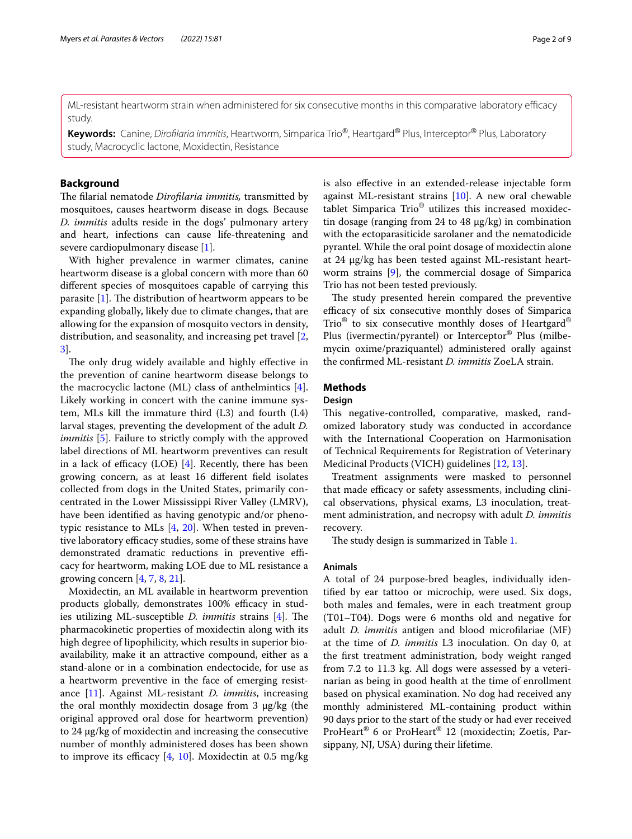ML-resistant heartworm strain when administered for six consecutive months in this comparative laboratory efficacy study.

**Keywords:** Canine, *Diroflaria immitis*, Heartworm, Simparica Trio®, Heartgard® Plus, Interceptor® Plus, Laboratory study, Macrocyclic lactone, Moxidectin, Resistance

## **Background**

The filarial nematode *Dirofilaria immitis*, transmitted by mosquitoes, causes heartworm disease in dogs*.* Because *D. immitis* adults reside in the dogs' pulmonary artery and heart, infections can cause life-threatening and severe cardiopulmonary disease [\[1](#page-8-0)].

With higher prevalence in warmer climates, canine heartworm disease is a global concern with more than 60 diferent species of mosquitoes capable of carrying this parasite  $[1]$  $[1]$ . The distribution of heartworm appears to be expanding globally, likely due to climate changes, that are allowing for the expansion of mosquito vectors in density, distribution, and seasonality, and increasing pet travel [\[2](#page-8-1), [3\]](#page-8-2).

The only drug widely available and highly effective in the prevention of canine heartworm disease belongs to the macrocyclic lactone (ML) class of anthelmintics [\[4](#page-8-3)]. Likely working in concert with the canine immune system, MLs kill the immature third (L3) and fourth (L4) larval stages, preventing the development of the adult *D. immitis* [\[5](#page-8-4)]. Failure to strictly comply with the approved label directions of ML heartworm preventives can result in a lack of efficacy (LOE)  $[4]$  $[4]$ . Recently, there has been growing concern, as at least 16 diferent feld isolates collected from dogs in the United States, primarily concentrated in the Lower Mississippi River Valley (LMRV), have been identifed as having genotypic and/or phenotypic resistance to MLs  $[4, 20]$  $[4, 20]$  $[4, 20]$ . When tested in preventive laboratory efficacy studies, some of these strains have demonstrated dramatic reductions in preventive efficacy for heartworm, making LOE due to ML resistance a growing concern  $[4, 7, 8, 21]$  $[4, 7, 8, 21]$  $[4, 7, 8, 21]$  $[4, 7, 8, 21]$  $[4, 7, 8, 21]$  $[4, 7, 8, 21]$ .

Moxidectin, an ML available in heartworm prevention products globally, demonstrates 100% efficacy in studies utilizing ML-susceptible *D. immitis* strains [[4\]](#page-8-3). The pharmacokinetic properties of moxidectin along with its high degree of lipophilicity, which results in superior bioavailability, make it an attractive compound, either as a stand-alone or in a combination endectocide, for use as a heartworm preventive in the face of emerging resistance [\[11](#page-8-9)]. Against ML-resistant *D. immitis*, increasing the oral monthly moxidectin dosage from  $3 \mu g/kg$  (the original approved oral dose for heartworm prevention) to 24 µg/kg of moxidectin and increasing the consecutive number of monthly administered doses has been shown to improve its efficacy  $[4, 10]$  $[4, 10]$  $[4, 10]$ . Moxidectin at 0.5 mg/kg is also efective in an extended-release injectable form against ML-resistant strains [\[10](#page-8-10)]. A new oral chewable tablet Simparica Trio® utilizes this increased moxidectin dosage (ranging from 24 to 48 µg/kg) in combination with the ectoparasiticide sarolaner and the nematodicide pyrantel. While the oral point dosage of moxidectin alone at 24 µg/kg has been tested against ML-resistant heartworm strains [[9\]](#page-8-11), the commercial dosage of Simparica Trio has not been tested previously.

The study presented herein compared the preventive efficacy of six consecutive monthly doses of Simparica Trio® to six consecutive monthly doses of Heartgard® Plus (ivermectin/pyrantel) or Interceptor® Plus (milbemycin oxime/praziquantel) administered orally against the confrmed ML-resistant *D. immitis* ZoeLA strain.

# **Methods**

## **Design**

This negative-controlled, comparative, masked, randomized laboratory study was conducted in accordance with the International Cooperation on Harmonisation of Technical Requirements for Registration of Veterinary Medicinal Products (VICH) guidelines [[12,](#page-8-12) [13](#page-8-13)].

Treatment assignments were masked to personnel that made efficacy or safety assessments, including clinical observations, physical exams, L3 inoculation, treatment administration, and necropsy with adult *D. immitis* recovery.

The study design is summarized in Table [1](#page-2-0).

#### **Animals**

A total of 24 purpose-bred beagles, individually identifed by ear tattoo or microchip, were used. Six dogs, both males and females, were in each treatment group (T01–T04). Dogs were 6 months old and negative for adult *D. immitis* antigen and blood microflariae (MF) at the time of *D. immitis* L3 inoculation. On day 0, at the frst treatment administration, body weight ranged from 7.2 to 11.3 kg. All dogs were assessed by a veterinarian as being in good health at the time of enrollment based on physical examination. No dog had received any monthly administered ML-containing product within 90 days prior to the start of the study or had ever received ProHeart® 6 or ProHeart® 12 (moxidectin; Zoetis, Parsippany, NJ, USA) during their lifetime.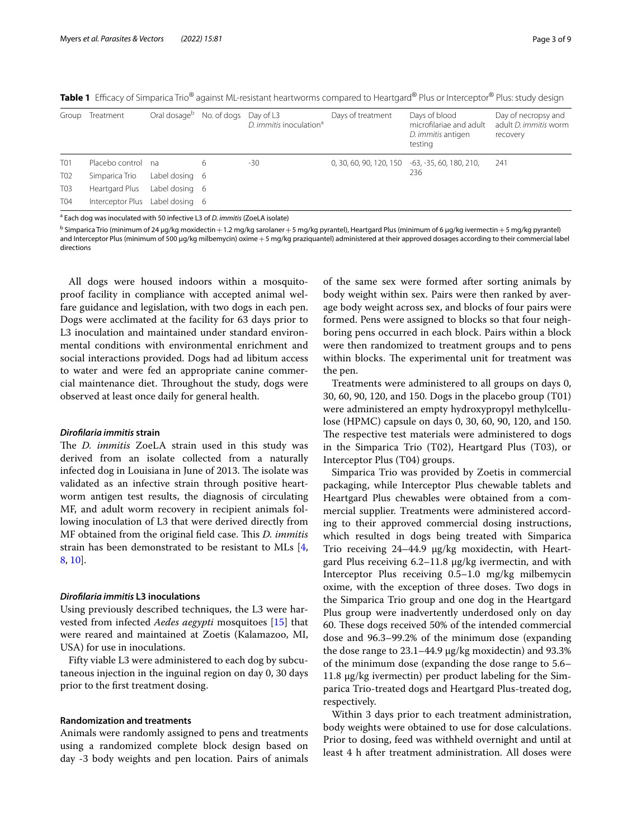| Group           | Treatment                       | Oral dosage <sup>b</sup> | No. of dogs Day of L3 | D. immitis inoculation <sup>a</sup> | Days of treatment                               | Days of blood<br>microfilariae and adult<br>D. <i>immitis</i> antigen<br>testing | Day of necropsy and<br>adult <i>D. immitis</i> worm<br>recovery |
|-----------------|---------------------------------|--------------------------|-----------------------|-------------------------------------|-------------------------------------------------|----------------------------------------------------------------------------------|-----------------------------------------------------------------|
| <b>T01</b>      | Placebo control na              |                          | 6                     | -30                                 | 0, 30, 60, 90, 120, 150 -63, -35, 60, 180, 210, |                                                                                  | 241                                                             |
| T <sub>02</sub> | Simparica Trio                  | Label dosing 6           |                       |                                     |                                                 | 236                                                                              |                                                                 |
| <b>T03</b>      | Heartgard Plus                  | Label dosing 6           |                       |                                     |                                                 |                                                                                  |                                                                 |
| T04             | Interceptor Plus Label dosing 6 |                          |                       |                                     |                                                 |                                                                                  |                                                                 |

<span id="page-2-0"></span>Table 1 Efficacy of Simparica Trio<sup>®</sup> against ML-resistant heartworms compared to Heartgard® Plus or Interceptor® Plus: study design

a Each dog was inoculated with 50 infective L3 of *D. immitis* (ZoeLA isolate)

 $^{\rm b}$  Simparica Trio (minimum of 24 µg/kg moxidectin $+1.2$  mg/kg sarolaner $+5$  mg/kg pyrantel), Heartgard Plus (minimum of 6 µg/kg ivermectin $+5$  mg/kg pyrantel) and Interceptor Plus (minimum of 500 µg/kg milbemycin) oxime +5 mg/kg praziquantel) administered at their approved dosages according to their commercial label directions

All dogs were housed indoors within a mosquitoproof facility in compliance with accepted animal welfare guidance and legislation, with two dogs in each pen. Dogs were acclimated at the facility for 63 days prior to L3 inoculation and maintained under standard environmental conditions with environmental enrichment and social interactions provided. Dogs had ad libitum access to water and were fed an appropriate canine commercial maintenance diet. Throughout the study, dogs were observed at least once daily for general health.

#### *Diroflaria immitis* **strain**

The *D. immitis* ZoeLA strain used in this study was derived from an isolate collected from a naturally infected dog in Louisiana in June of 2013. The isolate was validated as an infective strain through positive heartworm antigen test results, the diagnosis of circulating MF, and adult worm recovery in recipient animals following inoculation of L3 that were derived directly from MF obtained from the original field case. This *D. immitis* strain has been demonstrated to be resistant to MLs [\[4](#page-8-3), [8,](#page-8-7) [10\]](#page-8-10).

## *Diroflaria immitis* **L3 inoculations**

Using previously described techniques, the L3 were harvested from infected *Aedes aegypti* mosquitoes [\[15](#page-8-14)] that were reared and maintained at Zoetis (Kalamazoo, MI, USA) for use in inoculations.

Fifty viable L3 were administered to each dog by subcutaneous injection in the inguinal region on day 0, 30 days prior to the frst treatment dosing.

#### **Randomization and treatments**

Animals were randomly assigned to pens and treatments using a randomized complete block design based on day -3 body weights and pen location. Pairs of animals

of the same sex were formed after sorting animals by body weight within sex. Pairs were then ranked by average body weight across sex, and blocks of four pairs were formed. Pens were assigned to blocks so that four neighboring pens occurred in each block. Pairs within a block were then randomized to treatment groups and to pens within blocks. The experimental unit for treatment was the pen.

Treatments were administered to all groups on days 0, 30, 60, 90, 120, and 150. Dogs in the placebo group (T01) were administered an empty hydroxypropyl methylcellulose (HPMC) capsule on days 0, 30, 60, 90, 120, and 150. The respective test materials were administered to dogs in the Simparica Trio (T02), Heartgard Plus (T03), or Interceptor Plus (T04) groups.

Simparica Trio was provided by Zoetis in commercial packaging, while Interceptor Plus chewable tablets and Heartgard Plus chewables were obtained from a commercial supplier. Treatments were administered according to their approved commercial dosing instructions, which resulted in dogs being treated with Simparica Trio receiving 24-44.9 µg/kg moxidectin, with Heartgard Plus receiving 6.2–11.8 µg/kg ivermectin, and with Interceptor Plus receiving 0.5–1.0 mg/kg milbemycin oxime, with the exception of three doses. Two dogs in the Simparica Trio group and one dog in the Heartgard Plus group were inadvertently underdosed only on day 60. These dogs received 50% of the intended commercial dose and 96.3–99.2% of the minimum dose (expanding the dose range to 23.1–44.9 µg/kg moxidectin) and 93.3% of the minimum dose (expanding the dose range to 5.6– 11.8 µg/kg ivermectin) per product labeling for the Simparica Trio-treated dogs and Heartgard Plus-treated dog, respectively.

Within 3 days prior to each treatment administration, body weights were obtained to use for dose calculations. Prior to dosing, feed was withheld overnight and until at least 4 h after treatment administration. All doses were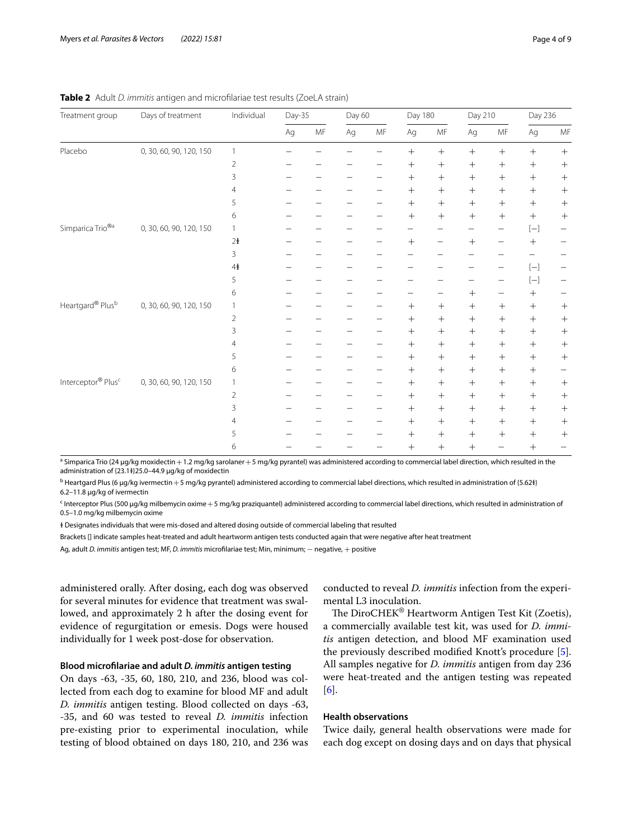| Treatment group                | Days of treatment       | Individual     | Day-35 |                      | Day 60 |                      | Day 180                  |                      | Day 210          |                  | Day 236                                                                                                                                                                                                                                                                                                                                                                                                                                                                                                                                                                                                                                                                                                                                                                                                                                                                                      |                  |
|--------------------------------|-------------------------|----------------|--------|----------------------|--------|----------------------|--------------------------|----------------------|------------------|------------------|----------------------------------------------------------------------------------------------------------------------------------------------------------------------------------------------------------------------------------------------------------------------------------------------------------------------------------------------------------------------------------------------------------------------------------------------------------------------------------------------------------------------------------------------------------------------------------------------------------------------------------------------------------------------------------------------------------------------------------------------------------------------------------------------------------------------------------------------------------------------------------------------|------------------|
|                                |                         |                | Ag     | $\mathsf{MF}\xspace$ | Ag     | $\mathsf{MF}\xspace$ | $Ag$                     | $\mathsf{MF}\xspace$ | Ag               | MF               | $Ag$                                                                                                                                                                                                                                                                                                                                                                                                                                                                                                                                                                                                                                                                                                                                                                                                                                                                                         | MF               |
| Placebo                        | 0, 30, 60, 90, 120, 150 | $\mathbf{1}$   |        |                      |        |                      |                          | $^{+}$               | $\boldsymbol{+}$ |                  | $\boldsymbol{+}$                                                                                                                                                                                                                                                                                                                                                                                                                                                                                                                                                                                                                                                                                                                                                                                                                                                                             | $\boldsymbol{+}$ |
|                                |                         | $\overline{2}$ |        |                      |        |                      |                          | $^{+}$               |                  |                  | $^{+}$                                                                                                                                                                                                                                                                                                                                                                                                                                                                                                                                                                                                                                                                                                                                                                                                                                                                                       |                  |
|                                |                         | 3              |        |                      |        |                      | $^{+}$                   | $^{+}$               | $^{+}$           | $+$              | $+$                                                                                                                                                                                                                                                                                                                                                                                                                                                                                                                                                                                                                                                                                                                                                                                                                                                                                          |                  |
|                                |                         | $\overline{4}$ |        |                      |        |                      | $^{+}$                   |                      | $^{+}$           |                  | $^{+}$                                                                                                                                                                                                                                                                                                                                                                                                                                                                                                                                                                                                                                                                                                                                                                                                                                                                                       |                  |
|                                |                         | 5              |        |                      |        |                      | $^{+}$                   |                      |                  | $+$              | $+$                                                                                                                                                                                                                                                                                                                                                                                                                                                                                                                                                                                                                                                                                                                                                                                                                                                                                          | $^{+}$           |
|                                |                         | 6              |        |                      |        |                      | $^{+}$                   | $^{+}$               |                  | $+$              | $+$                                                                                                                                                                                                                                                                                                                                                                                                                                                                                                                                                                                                                                                                                                                                                                                                                                                                                          | $^{+}$           |
| Simparica Trio <sup>®a</sup>   | 0, 30, 60, 90, 120, 150 | 1              |        |                      |        |                      |                          |                      |                  |                  | $\left[ -\right] % \begin{minipage}[b]{.45\linewidth} \centering \includegraphics[width=\textwidth]{figs/fig_4-1} \caption{The number of times of the number of times in the right, the number of times in the right, the number of times in the right, the number of times in the right, the number of times in the right, the number of times in the right, the number of times in the right, the number of times in the right, the number of times in the right, the number of times in the right, the number of times in the right, the number of times in the right, the number of times in the right, the number of times in the right, the number of times in the right, the number of times in the right, the number of times in the right, the number of times in the right, the number of times in the right, the number of times in the right, the number of times in the right,$ |                  |
|                                |                         | 2 <sup>1</sup> |        |                      |        |                      |                          |                      | $^{+}$           |                  | $\! + \!$                                                                                                                                                                                                                                                                                                                                                                                                                                                                                                                                                                                                                                                                                                                                                                                                                                                                                    |                  |
|                                |                         | 3              |        |                      |        |                      |                          |                      |                  |                  |                                                                                                                                                                                                                                                                                                                                                                                                                                                                                                                                                                                                                                                                                                                                                                                                                                                                                              |                  |
|                                |                         | 4 <sup>1</sup> |        |                      |        |                      | $\overline{\phantom{0}}$ |                      |                  |                  | $\left[ -\right] % \begin{minipage}[b]{.45\linewidth} \centering \includegraphics[width=\textwidth]{figs/fig_4-1} \caption{The number of times in the left and right.} \label{fig:fig_4-1} \end{minipage}% \begin{minipage}[b]{.45\linewidth} \centering \includegraphics[width=\textwidth]{figs/fig_4-1} \caption{The number of times in the right and right.} \label{fig:fig_4-1} \end{minipage}% \begin{minipage}[b]{.45\linewidth} \centering \includegraphics[width=\textwidth]{figs/fig_4-1} \caption{The number of times in the right and right.} \label{fig:fig_4-1} \end{minipage}% \caption{The number of times in$                                                                                                                                                                                                                                                                | -                |
|                                |                         | 5              |        |                      |        |                      |                          |                      |                  |                  | $[ - ] % \centering % {\includegraphics[width=0.9\textwidth]{images/TrDiS/NR_WM1.png} } % \caption{The figure shows the number of parameters of the estimators in the right hand side.} \label{TrDiS/NR_WM1} %$                                                                                                                                                                                                                                                                                                                                                                                                                                                                                                                                                                                                                                                                              |                  |
|                                |                         | 6              |        |                      |        |                      |                          |                      | $^{+}$           |                  | $+$                                                                                                                                                                                                                                                                                                                                                                                                                                                                                                                                                                                                                                                                                                                                                                                                                                                                                          |                  |
| Heartgard® Plusb               | 0, 30, 60, 90, 120, 150 | $\mathbf{1}$   |        |                      |        |                      | $^{+}$                   | $^{+}$               | $\boldsymbol{+}$ | $\boldsymbol{+}$ | $+$                                                                                                                                                                                                                                                                                                                                                                                                                                                                                                                                                                                                                                                                                                                                                                                                                                                                                          | $^{+}$           |
|                                |                         | $\overline{2}$ |        |                      |        |                      |                          |                      | $^{+}$           |                  | $+$                                                                                                                                                                                                                                                                                                                                                                                                                                                                                                                                                                                                                                                                                                                                                                                                                                                                                          | $^{+}$           |
|                                |                         | 3              |        |                      |        |                      | $^{+}$                   |                      | $\boldsymbol{+}$ | $+$              | $^{+}$                                                                                                                                                                                                                                                                                                                                                                                                                                                                                                                                                                                                                                                                                                                                                                                                                                                                                       |                  |
|                                |                         | $\overline{4}$ |        |                      |        |                      | $^{+}$                   | $^{+}$               | $^{+}$           | $+$              | $+$                                                                                                                                                                                                                                                                                                                                                                                                                                                                                                                                                                                                                                                                                                                                                                                                                                                                                          |                  |
|                                |                         | 5              |        |                      |        |                      |                          |                      | $^{+}$           |                  | $+$                                                                                                                                                                                                                                                                                                                                                                                                                                                                                                                                                                                                                                                                                                                                                                                                                                                                                          | $^{+}$           |
|                                |                         | 6              |        |                      |        |                      | $^{+}$                   | $^{+}$               |                  |                  | $^{+}$                                                                                                                                                                                                                                                                                                                                                                                                                                                                                                                                                                                                                                                                                                                                                                                                                                                                                       | —                |
| Interceptor® Plus <sup>c</sup> | 0, 30, 60, 90, 120, 150 | $\mathbf{1}$   |        |                      |        |                      |                          | $^{+}$               |                  | $\boldsymbol{+}$ | $\boldsymbol{+}$                                                                                                                                                                                                                                                                                                                                                                                                                                                                                                                                                                                                                                                                                                                                                                                                                                                                             |                  |
|                                |                         | $\overline{2}$ |        |                      |        |                      |                          | $^{+}$               | $^{+}$           | $\boldsymbol{+}$ | $+$                                                                                                                                                                                                                                                                                                                                                                                                                                                                                                                                                                                                                                                                                                                                                                                                                                                                                          |                  |
|                                |                         | 3              |        |                      |        |                      | $^{+}$                   | $^{+}$               | $+$              | $+$              | $^{+}$                                                                                                                                                                                                                                                                                                                                                                                                                                                                                                                                                                                                                                                                                                                                                                                                                                                                                       | $^{+}$           |
|                                |                         | 4              |        |                      |        |                      | $^{+}$                   |                      | $^{+}$           | $+$              | $^{+}$                                                                                                                                                                                                                                                                                                                                                                                                                                                                                                                                                                                                                                                                                                                                                                                                                                                                                       | $^{+}$           |
|                                |                         | 5              |        |                      |        |                      | $^{+}$                   | $^{+}$               | $^{+}$           | $^{+}$           | $^{+}$                                                                                                                                                                                                                                                                                                                                                                                                                                                                                                                                                                                                                                                                                                                                                                                                                                                                                       | $^{+}$           |
|                                |                         | 6              |        |                      |        |                      | $^{+}$                   | $+$                  | $^{+}$           |                  | $^{+}$                                                                                                                                                                                                                                                                                                                                                                                                                                                                                                                                                                                                                                                                                                                                                                                                                                                                                       |                  |

<span id="page-3-0"></span>**Table 2** Adult *D. immitis* antigen and microflariae test results (ZoeLA strain)

<sup>a</sup> Simparica Trio (24 µg/kg moxidectin + 1.2 mg/kg sarolaner + 5 mg/kg pyrantel) was administered according to commercial label direction, which resulted in the administration of {23.1}}25.0-44.9 µg/kg of moxidectin

<sup>b</sup> Heartgard Plus (6 µg/kg ivermectin + 5 mg/kg pyrantel) administered according to commercial label directions, which resulted in administration of {5.62<del>}</del>} 6.2–11.8 µg/kg of ivermectin

c Interceptor Plus (500 µg/kg milbemycin oxime+5 mg/kg praziquantel) administered according to commercial label directions, which resulted in administration of 0.5–1.0 mg/kg milbemycin oxime

ⱡ Designates individuals that were mis-dosed and altered dosing outside of commercial labeling that resulted

Brackets [] indicate samples heat-treated and adult heartworm antigen tests conducted again that were negative after heat treatment

Ag, adult *D. immitis* antigen test; MF, *D. immitis* microfilariae test; Min, minimum; − negative, + positive

administered orally. After dosing, each dog was observed for several minutes for evidence that treatment was swallowed, and approximately 2 h after the dosing event for evidence of regurgitation or emesis. Dogs were housed individually for 1 week post-dose for observation.

# **Blood microflariae and adult** *D. immitis* **antigen testing**

On days -63, -35, 60, 180, 210, and 236, blood was collected from each dog to examine for blood MF and adult *D. immitis* antigen testing. Blood collected on days -63, -35, and 60 was tested to reveal *D. immitis* infection pre-existing prior to experimental inoculation, while testing of blood obtained on days 180, 210, and 236 was conducted to reveal *D. immitis* infection from the experimental L3 inoculation.

The DiroCHEK® Heartworm Antigen Test Kit (Zoetis), a commercially available test kit, was used for *D. immitis* antigen detection, and blood MF examination used the previously described modifed Knott's procedure [\[5](#page-8-4)]. All samples negative for *D. immitis* antigen from day 236 were heat-treated and the antigen testing was repeated [[6\]](#page-8-15).

## **Health observations**

Twice daily, general health observations were made for each dog except on dosing days and on days that physical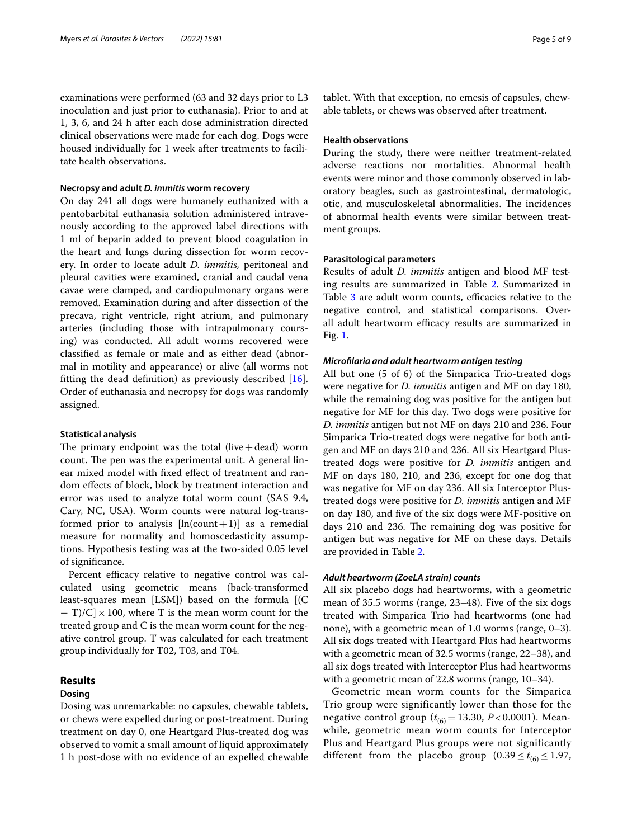examinations were performed (63 and 32 days prior to L3 inoculation and just prior to euthanasia). Prior to and at 1, 3, 6, and 24 h after each dose administration directed clinical observations were made for each dog. Dogs were housed individually for 1 week after treatments to facilitate health observations.

#### **Necropsy and adult** *D. immitis* **worm recovery**

On day 241 all dogs were humanely euthanized with a pentobarbital euthanasia solution administered intravenously according to the approved label directions with 1 ml of heparin added to prevent blood coagulation in the heart and lungs during dissection for worm recovery. In order to locate adult *D. immitis,* peritoneal and pleural cavities were examined, cranial and caudal vena cavae were clamped, and cardiopulmonary organs were removed. Examination during and after dissection of the precava, right ventricle, right atrium, and pulmonary arteries (including those with intrapulmonary coursing) was conducted. All adult worms recovered were classifed as female or male and as either dead (abnormal in motility and appearance) or alive (all worms not ftting the dead defnition) as previously described [\[16](#page-8-16)]. Order of euthanasia and necropsy for dogs was randomly assigned.

### **Statistical analysis**

The primary endpoint was the total (live  $+$  dead) worm count. The pen was the experimental unit. A general linear mixed model with fxed efect of treatment and random efects of block, block by treatment interaction and error was used to analyze total worm count (SAS 9.4, Cary, NC, USA). Worm counts were natural log-transformed prior to analysis  $[ln(count+1)]$  as a remedial measure for normality and homoscedasticity assumptions. Hypothesis testing was at the two-sided 0.05 level of signifcance.

Percent efficacy relative to negative control was calculated using geometric means (back-transformed least-squares mean [LSM]) based on the formula [(C  $-$  T)/C]  $\times$  100, where T is the mean worm count for the treated group and C is the mean worm count for the negative control group. T was calculated for each treatment group individually for T02, T03, and T04.

# **Results**

# **Dosing**

Dosing was unremarkable: no capsules, chewable tablets, or chews were expelled during or post-treatment. During treatment on day 0, one Heartgard Plus-treated dog was observed to vomit a small amount of liquid approximately 1 h post-dose with no evidence of an expelled chewable tablet. With that exception, no emesis of capsules, chewable tablets, or chews was observed after treatment.

# **Health observations**

During the study, there were neither treatment-related adverse reactions nor mortalities. Abnormal health events were minor and those commonly observed in laboratory beagles, such as gastrointestinal, dermatologic, otic, and musculoskeletal abnormalities. The incidences of abnormal health events were similar between treatment groups.

### **Parasitological parameters**

Results of adult *D. immitis* antigen and blood MF testing results are summarized in Table [2.](#page-3-0) Summarized in Table [3](#page-5-0) are adult worm counts, efficacies relative to the negative control, and statistical comparisons. Overall adult heartworm efficacy results are summarized in Fig. [1.](#page-5-1)

#### *Microflaria and adult heartworm antigen testing*

All but one (5 of 6) of the Simparica Trio-treated dogs were negative for *D. immitis* antigen and MF on day 180, while the remaining dog was positive for the antigen but negative for MF for this day. Two dogs were positive for *D. immitis* antigen but not MF on days 210 and 236. Four Simparica Trio-treated dogs were negative for both antigen and MF on days 210 and 236. All six Heartgard Plustreated dogs were positive for *D. immitis* antigen and MF on days 180, 210, and 236, except for one dog that was negative for MF on day 236. All six Interceptor Plustreated dogs were positive for *D. immitis* antigen and MF on day 180, and fve of the six dogs were MF-positive on days 210 and 236. The remaining dog was positive for antigen but was negative for MF on these days. Details are provided in Table [2](#page-3-0).

#### *Adult heartworm (ZoeLA strain) counts*

All six placebo dogs had heartworms, with a geometric mean of 35.5 worms (range, 23–48). Five of the six dogs treated with Simparica Trio had heartworms (one had none), with a geometric mean of 1.0 worms (range, 0–3). All six dogs treated with Heartgard Plus had heartworms with a geometric mean of 32.5 worms (range, 22–38), and all six dogs treated with Interceptor Plus had heartworms with a geometric mean of 22.8 worms (range, 10–34).

Geometric mean worm counts for the Simparica Trio group were significantly lower than those for the negative control group ( $t_{(6)} = 13.30$ ,  $P < 0.0001$ ). Meanwhile, geometric mean worm counts for Interceptor Plus and Heartgard Plus groups were not significantly different from the placebo group  $(0.39 \le t_{(6)} \le 1.97$ ,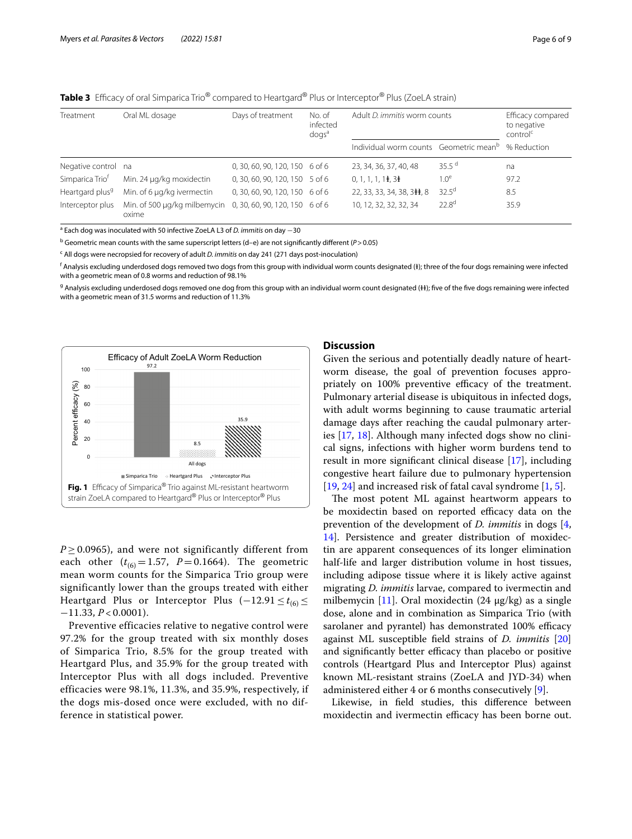<span id="page-5-0"></span>

|  |  |  |  |  |  | Table 3 Efficacy of oral Simparica Trio® compared to Heartgard® Plus or Interceptor® Plus (ZoeLA strain) |
|--|--|--|--|--|--|----------------------------------------------------------------------------------------------------------|
|--|--|--|--|--|--|----------------------------------------------------------------------------------------------------------|

| Treatment                   | Oral ML dosage                        | Days of treatment              | No. of<br>infected<br>$d$ ogs <sup>a</sup> | Adult D. immitis worm counts                       | Efficacy compared<br>to negative<br>control <sup>c</sup> |             |  |
|-----------------------------|---------------------------------------|--------------------------------|--------------------------------------------|----------------------------------------------------|----------------------------------------------------------|-------------|--|
|                             |                                       |                                |                                            | Individual worm counts Geometric mean <sup>b</sup> |                                                          | % Reduction |  |
| Negative control na         |                                       | 0, 30, 60, 90, 120, 150 6 of 6 |                                            | 23, 34, 36, 37, 40, 48                             | 35.5 $^{\rm d}$                                          | na          |  |
| Simparica Trio <sup>f</sup> | Min. 24 µg/kg moxidectin              | 0, 30, 60, 90, 120, 150 5 of 6 |                                            | $0, 1, 1, 1, 1\pm$ , 3 $\pm$                       | 1.0 <sup>e</sup>                                         | 97.2        |  |
| Heartgard plus <sup>9</sup> | Min. of 6 µg/kg ivermectin            | 0, 30, 60, 90, 120, 150 6 of 6 |                                            | 22, 33, 33, 34, 38, 3#, 8                          | $32.5^{\text{d}}$                                        | 8.5         |  |
| Interceptor plus            | Min. of 500 µg/kg milbemycin<br>oxime | 0, 30, 60, 90, 120, 150 6 of 6 |                                            | 10, 12, 32, 32, 32, 34                             | $22.8^{\text{d}}$                                        | 35.9        |  |

a Each dog was inoculated with 50 infective ZoeLA L3 of *D. immitis* on day −30

b Geometric mean counts with the same superscript letters (d–e) are not signifcantly diferent (*P*>0.05)

c All dogs were necropsied for recovery of adult *D. immitis* on day 241 (271 days post-inoculation)

 $^{\mathsf{f}}$  Analysis excluding underdosed dogs removed two dogs from this group with individual worm counts designated (‡); three of the four dogs remaining were infected with a geometric mean of 0.8 worms and reduction of 98.1%

<sup>g</sup> Analysis excluding underdosed dogs removed one dog from this group with an individual worm count designated (\#); five of the five dogs remaining were infected with a geometric mean of 31.5 worms and reduction of 11.3%



<span id="page-5-1"></span> $P \geq 0.0965$ ), and were not significantly different from each other  $(t_{(6)} = 1.57, P = 0.1664)$ . The geometric mean worm counts for the Simparica Trio group were significantly lower than the groups treated with either Heartgard Plus or Interceptor Plus  $(-12.91 \le t_{(6)} \le$ −11.33, *P* < 0.0001).

Preventive efficacies relative to negative control were 97.2% for the group treated with six monthly doses of Simparica Trio, 8.5% for the group treated with Heartgard Plus, and 35.9% for the group treated with Interceptor Plus with all dogs included. Preventive efficacies were 98.1%, 11.3%, and 35.9%, respectively, if the dogs mis-dosed once were excluded, with no difference in statistical power.

## **Discussion**

Given the serious and potentially deadly nature of heartworm disease, the goal of prevention focuses appropriately on 100% preventive efficacy of the treatment. Pulmonary arterial disease is ubiquitous in infected dogs, with adult worms beginning to cause traumatic arterial damage days after reaching the caudal pulmonary arteries [[17,](#page-8-17) [18\]](#page-8-18). Although many infected dogs show no clinical signs, infections with higher worm burdens tend to result in more signifcant clinical disease [[17](#page-8-17)], including congestive heart failure due to pulmonary hypertension [[19,](#page-8-19) [24](#page-8-20)] and increased risk of fatal caval syndrome [\[1](#page-8-0), [5\]](#page-8-4).

The most potent ML against heartworm appears to be moxidectin based on reported efficacy data on the prevention of the development of *D. immitis* in dogs [\[4](#page-8-3), [14\]](#page-8-21). Persistence and greater distribution of moxidectin are apparent consequences of its longer elimination half-life and larger distribution volume in host tissues, including adipose tissue where it is likely active against migrating *D. immitis* larvae, compared to ivermectin and milbemycin [[11](#page-8-9)]. Oral moxidectin  $(24 \mu g/kg)$  as a single dose, alone and in combination as Simparica Trio (with sarolaner and pyrantel) has demonstrated 100% efficacy against ML susceptible feld strains of *D. immitis* [[20](#page-8-5)] and significantly better efficacy than placebo or positive controls (Heartgard Plus and Interceptor Plus) against known ML-resistant strains (ZoeLA and JYD-34) when administered either 4 or 6 months consecutively [[9\]](#page-8-11).

Likewise, in feld studies, this diference between moxidectin and ivermectin efficacy has been borne out.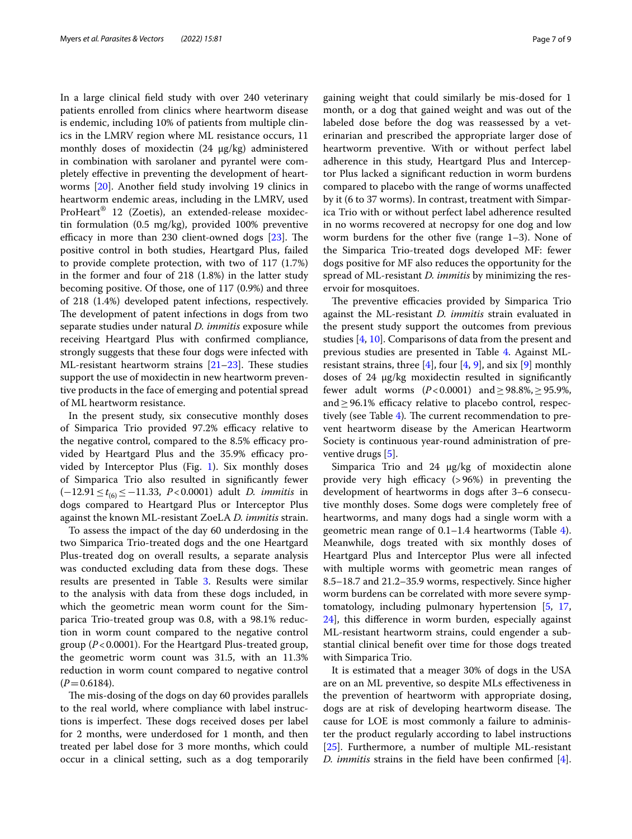In a large clinical feld study with over 240 veterinary patients enrolled from clinics where heartworm disease is endemic, including 10% of patients from multiple clinics in the LMRV region where ML resistance occurs, 11 monthly doses of moxidectin (24 µg/kg) administered in combination with sarolaner and pyrantel were completely efective in preventing the development of heartworms [[20\]](#page-8-5). Another feld study involving 19 clinics in heartworm endemic areas, including in the LMRV, used ProHeart® 12 (Zoetis), an extended-release moxidectin formulation (0.5 mg/kg), provided 100% preventive efficacy in more than [23](#page-8-22)0 client-owned dogs  $[23]$ . The positive control in both studies, Heartgard Plus, failed to provide complete protection, with two of 117 (1.7%) in the former and four of 218 (1.8%) in the latter study becoming positive. Of those, one of 117 (0.9%) and three of 218 (1.4%) developed patent infections, respectively. The development of patent infections in dogs from two separate studies under natural *D. immitis* exposure while receiving Heartgard Plus with confrmed compliance, strongly suggests that these four dogs were infected with ML-resistant heartworm strains  $[21-23]$  $[21-23]$  $[21-23]$ . These studies support the use of moxidectin in new heartworm preventive products in the face of emerging and potential spread of ML heartworm resistance.

In the present study, six consecutive monthly doses of Simparica Trio provided 97.2% efficacy relative to the negative control, compared to the  $8.5\%$  efficacy provided by Heartgard Plus and the 35.9% efficacy provided by Interceptor Plus (Fig. [1](#page-5-1)). Six monthly doses of Simparica Trio also resulted in signifcantly fewer (−12.91≤*t*(6)≤−11.33, *P*<0.0001) adult *D. immitis* in dogs compared to Heartgard Plus or Interceptor Plus against the known ML-resistant ZoeLA *D. immitis* strain.

To assess the impact of the day 60 underdosing in the two Simparica Trio-treated dogs and the one Heartgard Plus-treated dog on overall results, a separate analysis was conducted excluding data from these dogs. These results are presented in Table [3](#page-5-0). Results were similar to the analysis with data from these dogs included, in which the geometric mean worm count for the Simparica Trio-treated group was 0.8, with a 98.1% reduction in worm count compared to the negative control group (*P*<0.0001). For the Heartgard Plus-treated group, the geometric worm count was 31.5, with an 11.3% reduction in worm count compared to negative control  $(P=0.6184)$ .

The mis-dosing of the dogs on day 60 provides parallels to the real world, where compliance with label instructions is imperfect. These dogs received doses per label for 2 months, were underdosed for 1 month, and then treated per label dose for 3 more months, which could occur in a clinical setting, such as a dog temporarily gaining weight that could similarly be mis-dosed for 1 month, or a dog that gained weight and was out of the labeled dose before the dog was reassessed by a veterinarian and prescribed the appropriate larger dose of heartworm preventive. With or without perfect label adherence in this study, Heartgard Plus and Interceptor Plus lacked a signifcant reduction in worm burdens compared to placebo with the range of worms unafected by it (6 to 37 worms). In contrast, treatment with Simparica Trio with or without perfect label adherence resulted in no worms recovered at necropsy for one dog and low worm burdens for the other five (range 1–3). None of the Simparica Trio-treated dogs developed MF: fewer dogs positive for MF also reduces the opportunity for the spread of ML-resistant *D. immitis* by minimizing the reservoir for mosquitoes.

The preventive efficacies provided by Simparica Trio against the ML-resistant *D. immitis* strain evaluated in the present study support the outcomes from previous studies [[4,](#page-8-3) [10](#page-8-10)]. Comparisons of data from the present and previous studies are presented in Table [4](#page-7-0). Against MLresistant strains, three  $[4]$ , four  $[4, 9]$  $[4, 9]$  $[4, 9]$  $[4, 9]$ , and six  $[9]$  $[9]$  monthly doses of 24 μg/kg moxidectin resulted in significantly fewer adult worms (*P*<0.0001) and≥98.8%,≥95.9%, and  $\geq$  96.1% efficacy relative to placebo control, respec-tively (see Table [4](#page-7-0)). The current recommendation to prevent heartworm disease by the American Heartworm Society is continuous year-round administration of preventive drugs [[5\]](#page-8-4).

Simparica Trio and 24 µg/kg of moxidectin alone provide very high efficacy  $(>96%)$  in preventing the development of heartworms in dogs after 3–6 consecutive monthly doses. Some dogs were completely free of heartworms, and many dogs had a single worm with a geometric mean range of  $0.1-1.4$  $0.1-1.4$  heartworms (Table 4). Meanwhile, dogs treated with six monthly doses of Heartgard Plus and Interceptor Plus were all infected with multiple worms with geometric mean ranges of 8.5–18.7 and 21.2–35.9 worms, respectively. Since higher worm burdens can be correlated with more severe symptomatology, including pulmonary hypertension [\[5](#page-8-4), [17](#page-8-17), [24\]](#page-8-20), this diference in worm burden, especially against ML-resistant heartworm strains, could engender a substantial clinical beneft over time for those dogs treated with Simparica Trio.

It is estimated that a meager 30% of dogs in the USA are on an ML preventive, so despite MLs efectiveness in the prevention of heartworm with appropriate dosing, dogs are at risk of developing heartworm disease. The cause for LOE is most commonly a failure to administer the product regularly according to label instructions [[25\]](#page-8-23). Furthermore, a number of multiple ML-resistant *D. immitis* strains in the feld have been confrmed [\[4](#page-8-3)].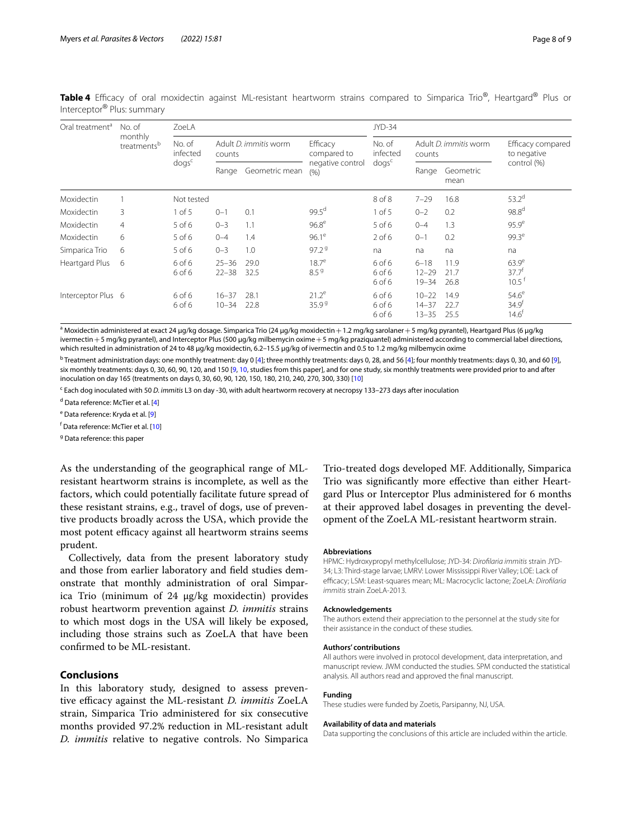<span id="page-7-0"></span>Table 4 Efficacy of oral moxidectin against ML-resistant heartworm strains compared to Simparica Trio®, Heartgard® Plus or Interceptor® Plus: summary

| Oral treatment <sup>a</sup> | No. of<br>monthly<br>treatments <sup>b</sup> | ZoeLA                                      |                                 |                |                                | JYD-34                     |                                     |                      |                                                      |  |
|-----------------------------|----------------------------------------------|--------------------------------------------|---------------------------------|----------------|--------------------------------|----------------------------|-------------------------------------|----------------------|------------------------------------------------------|--|
|                             |                                              | No. of<br>infected<br>$d$ ogs <sup>c</sup> | Adult D. immitis worm<br>counts |                | <b>Efficacy</b><br>compared to | No. of<br>infected         | Adult D. immitis worm<br>counts     |                      | Efficacy compared<br>to negative                     |  |
|                             |                                              |                                            | Range                           | Geometric mean | negative control<br>(% )       | $d$ ogs <sup>c</sup>       | Range                               | Geometric<br>mean    | control (%)                                          |  |
| Moxidectin                  |                                              | Not tested                                 |                                 |                |                                | 8 of 8                     | $7 - 29$                            | 16.8                 | $53.2^{d}$                                           |  |
| Moxidectin                  | 3                                            | $1$ of $5$                                 | $0 - 1$                         | 0.1            | $99.5^{\text{d}}$              | $1$ of 5                   | $0 - 2$                             | 0.2                  | 98.8 <sup>d</sup>                                    |  |
| Moxidectin                  | $\overline{4}$                               | $5$ of 6                                   | $0 - 3$                         | 1.1            | 96.8 <sup>e</sup>              | 5 of 6                     | $0 - 4$                             | 1.3                  | 95.9 <sup>e</sup>                                    |  |
| Moxidectin                  | 6                                            | $5$ of 6                                   | $0 - 4$                         | 1.4            | $96.1^e$                       | $2$ of 6                   | $0 - 1$                             | 0.2                  | $99.3^e$                                             |  |
| Simparica Trio              | 6                                            | $5$ of 6                                   | $0 - 3$                         | 1.0            | 97.2 <sup>9</sup>              | na                         | na                                  | na                   | na                                                   |  |
| Heartgard Plus              | 6                                            | 6 of 6<br>6 of 6                           | $25 - 36$<br>$22 - 38$          | 29.0<br>32.5   | $18.7^e$<br>8.5 <sup>9</sup>   | 6 of 6<br>6 of 6<br>6 of 6 | $6 - 18$<br>$12 - 29$<br>$19 - 34$  | 11.9<br>21.7<br>26.8 | $63.9^\mathrm{e}$<br>$37.7^{f}$<br>$10.5^{\text{t}}$ |  |
| Interceptor Plus 6          |                                              | 6 of 6<br>6 of 6                           | $16 - 37$<br>$10 - 34$          | 28.1<br>22.8   | $21.2^e$<br>35.99              | 6 of 6<br>6 of 6<br>6 of 6 | $10 - 22$<br>$14 - 37$<br>$13 - 35$ | 14.9<br>22.7<br>25.5 | $54.6^e$<br>34.9 <sup>†</sup><br>14.6 <sup>†</sup>   |  |

 $^{\rm a}$ Moxidectin administered at exact 24 µg/kg dosage. Simparica Trio (24 µg/kg moxidectin $+1.2$  mg/kg sarolaner $+5$  mg/kg pyrantel), Heartgard Plus (6 µg/kg ivermectin + 5 mg/kg pyrantel), and Interceptor Plus (500 µg/kg milbemycin oxime + 5 mg/kg praziquantel) administered according to commercial label directions, which resulted in administration of 24 to 48 µg/kg moxidectin, 6.2-15.5 µg/kg of ivermectin and 0.5 to 1.2 mg/kg milbemycin oxime

 $^{\rm b}$  Treatment administration days: one monthly treatment: day 0 [[4](#page-8-3)]; three monthly treatments: days 0, 28, and 56 [\[4\]](#page-8-3); four monthly treatments: days 0, 30, and 60 [[9](#page-8-11)], six monthly treatments: days 0, 30, 60, 90, 120, and 150 [\[9,](#page-8-11) [10,](#page-8-10) studies from this paper], and for one study, six monthly treatments were provided prior to and after inoculation on day 165 (treatments on days 0, 30, 60, 90, 120, 150, 180, 210, 240, 270, 300, 330) [\[10](#page-8-10)]

<sup>c</sup> Each dog inoculated with 50 *D. immitis* L3 on day -30, with adult heartworm recovery at necropsy 133–273 days after inoculation

<sup>d</sup> Data reference: McTier et al. [[4](#page-8-3)]

<sup>e</sup> Data reference: Kryda et al. [[9](#page-8-11)]

<sup>f</sup> Data reference: McTier et al. [<mark>10</mark>]

<sup>g</sup> Data reference: this paper

As the understanding of the geographical range of MLresistant heartworm strains is incomplete, as well as the factors, which could potentially facilitate future spread of these resistant strains, e.g., travel of dogs, use of preventive products broadly across the USA, which provide the most potent efficacy against all heartworm strains seems prudent.

Collectively, data from the present laboratory study and those from earlier laboratory and feld studies demonstrate that monthly administration of oral Simparica Trio (minimum of 24 μg/kg moxidectin) provides robust heartworm prevention against *D. immitis* strains to which most dogs in the USA will likely be exposed, including those strains such as ZoeLA that have been confrmed to be ML-resistant.

# **Conclusions**

In this laboratory study, designed to assess preventive efficacy against the ML-resistant *D. immitis* ZoeLA strain, Simparica Trio administered for six consecutive months provided 97.2% reduction in ML-resistant adult *D. immitis* relative to negative controls. No Simparica Trio-treated dogs developed MF. Additionally, Simparica Trio was signifcantly more efective than either Heartgard Plus or Interceptor Plus administered for 6 months at their approved label dosages in preventing the development of the ZoeLA ML-resistant heartworm strain.

#### **Abbreviations**

HPMC: Hydroxypropyl methylcellulose; JYD-34: *Diroflaria immitis* strain JYD-34; L3: Third-stage larvae; LMRV: Lower Mississippi River Valley; LOE: Lack of efficacy; LSM: Least-squares mean; ML: Macrocyclic lactone; ZoeLA: *Dirofilaria immitis* strain ZoeLA-2013.

#### **Acknowledgements**

The authors extend their appreciation to the personnel at the study site for their assistance in the conduct of these studies.

#### **Authors' contributions**

All authors were involved in protocol development, data interpretation, and manuscript review. JWM conducted the studies. SPM conducted the statistical analysis. All authors read and approved the fnal manuscript.

#### **Funding**

These studies were funded by Zoetis, Parsipanny, NJ, USA.

#### **Availability of data and materials**

Data supporting the conclusions of this article are included within the article.